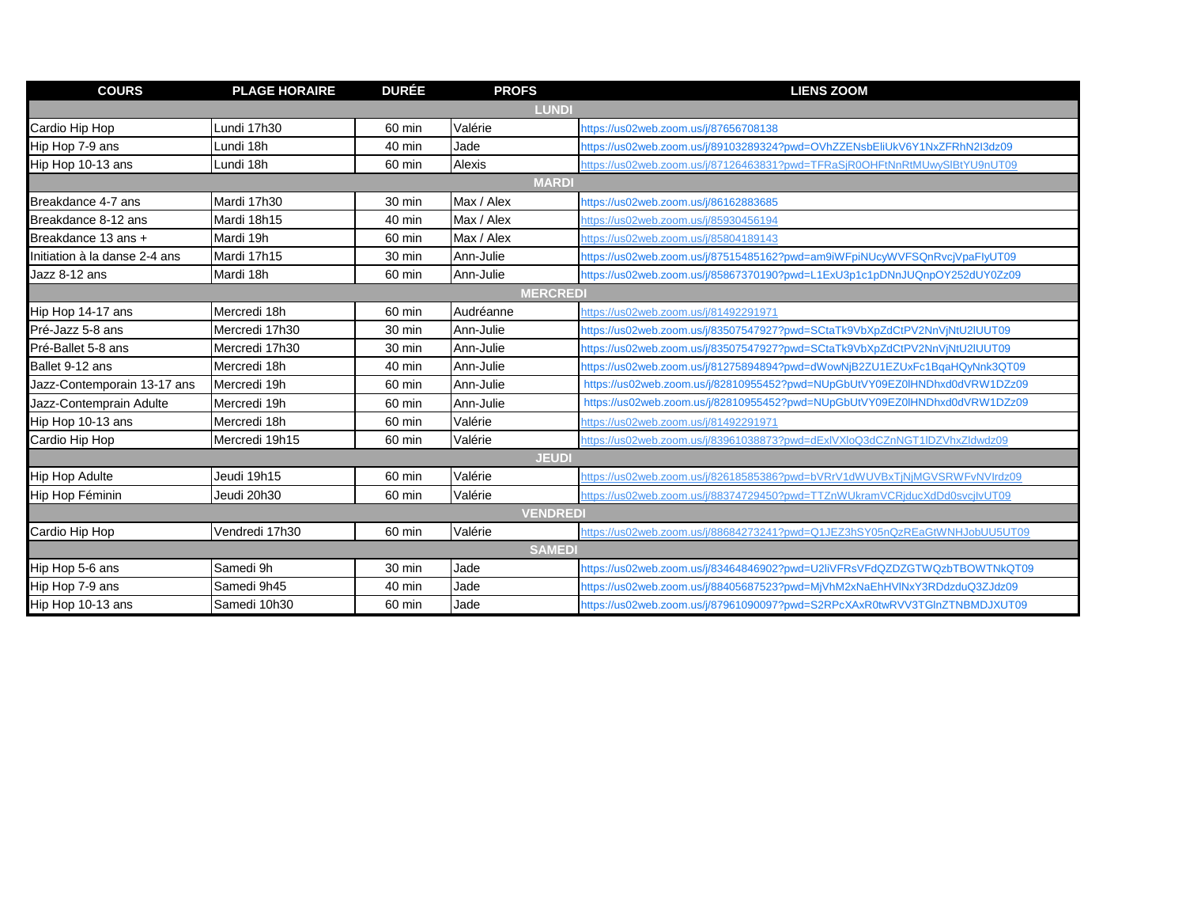| <b>COURS</b>                  | <b>PLAGE HORAIRE</b> | <b>DURÉE</b>     | <b>PROFS</b> | <b>LIENS ZOOM</b>                                                          |  |  |  |
|-------------------------------|----------------------|------------------|--------------|----------------------------------------------------------------------------|--|--|--|
| <b>LUNDI</b>                  |                      |                  |              |                                                                            |  |  |  |
| Cardio Hip Hop                | Lundi 17h30          | 60 min           | Valérie      | https://us02web.zoom.us/j/87656708138                                      |  |  |  |
| Hip Hop 7-9 ans               | Lundi 18h            | 40 min           | Jade         | https://us02web.zoom.us/j/89103289324?pwd=OVhZZENsbEliUkV6Y1NxZFRhN2I3dz09 |  |  |  |
| Hip Hop 10-13 ans             | Lundi 18h            | 60 min           | Alexis       | https://us02web.zoom.us/j/87126463831?pwd=TFRaSjR0OHFtNnRtMUwySlBtYU9nUT09 |  |  |  |
| <b>MARDI</b>                  |                      |                  |              |                                                                            |  |  |  |
| Breakdance 4-7 ans            | Mardi 17h30          | 30 min           | Max / Alex   | https://us02web.zoom.us/j/86162883685                                      |  |  |  |
| Breakdance 8-12 ans           | Mardi 18h15          | 40 min           | Max / Alex   | https://us02web.zoom.us/j/85930456194                                      |  |  |  |
| Breakdance 13 ans +           | Mardi 19h            | 60 min           | Max / Alex   | https://us02web.zoom.us/j/85804189143                                      |  |  |  |
| Initiation à la danse 2-4 ans | Mardi 17h15          | 30 min           | Ann-Julie    | https://us02web.zoom.us/j/87515485162?pwd=am9iWFpiNUcyWVFSQnRvcjVpaFlyUT09 |  |  |  |
| Jazz 8-12 ans                 | Mardi 18h            | 60 min           | Ann-Julie    | https://us02web.zoom.us/j/85867370190?pwd=L1ExU3p1c1pDNnJUQnpOY252dUY0Zz09 |  |  |  |
| <b>MERCREDI</b>               |                      |                  |              |                                                                            |  |  |  |
| Hip Hop 14-17 ans             | Mercredi 18h         | 60 min           | Audréanne    | https://us02web.zoom.us/j/81492291971                                      |  |  |  |
| Pré-Jazz 5-8 ans              | Mercredi 17h30       | 30 min           | Ann-Julie    | https://us02web.zoom.us/j/83507547927?pwd=SCtaTk9VbXpZdCtPV2NnVjNtU2IUUT09 |  |  |  |
| Pré-Ballet 5-8 ans            | Mercredi 17h30       | 30 min           | Ann-Julie    | https://us02web.zoom.us/j/83507547927?pwd=SCtaTk9VbXpZdCtPV2NnVjNtU2IUUT09 |  |  |  |
| Ballet 9-12 ans               | Mercredi 18h         | $40 \text{ min}$ | Ann-Julie    | https://us02web.zoom.us/j/81275894894?pwd=dWowNjB2ZU1EZUxFc1BqaHQyNnk3QT09 |  |  |  |
| Jazz-Contemporain 13-17 ans   | Mercredi 19h         | 60 min           | Ann-Julie    | https://us02web.zoom.us/j/82810955452?pwd=NUpGbUtVY09EZ0lHNDhxd0dVRW1DZz09 |  |  |  |
| Jazz-Contemprain Adulte       | Mercredi 19h         | 60 min           | Ann-Julie    | https://us02web.zoom.us/j/82810955452?pwd=NUpGbUtVY09EZ0lHNDhxd0dVRW1DZz09 |  |  |  |
| Hip Hop 10-13 ans             | Mercredi 18h         | 60 min           | Valérie      | https://us02web.zoom.us/j/81492291971                                      |  |  |  |
| Cardio Hip Hop                | Mercredi 19h15       | 60 min           | Valérie      | https://us02web.zoom.us/j/83961038873?pwd=dExlVXloQ3dCZnNGT1lDZVhxZldwdz09 |  |  |  |
| <b>JEUDI</b>                  |                      |                  |              |                                                                            |  |  |  |
| <b>Hip Hop Adulte</b>         | Jeudi 19h15          | 60 min           | Valérie      | https://us02web.zoom.us/i/82618585386?pwd=bVRrV1dWUVBxTiNiMGVSRWFvNVIrdz09 |  |  |  |
| Hip Hop Féminin               | Jeudi 20h30          | 60 min           | Valérie      | https://us02web.zoom.us/j/88374729450?pwd=TTZnWUkramVCRjducXdDd0svcjIvUT09 |  |  |  |
| <b>VENDRED</b>                |                      |                  |              |                                                                            |  |  |  |
| Cardio Hip Hop                | Vendredi 17h30       | 60 min           | Valérie      | https://us02web.zoom.us/j/88684273241?pwd=Q1JEZ3hSY05nQzREaGtWNHJobUU5UT09 |  |  |  |
| <b>SAMEDI</b>                 |                      |                  |              |                                                                            |  |  |  |
| Hip Hop 5-6 ans               | Samedi 9h            | 30 min           | Jade         | https://us02web.zoom.us/j/83464846902?pwd=U2liVFRsVFdQZDZGTWQzbTBOWTNkQT09 |  |  |  |
| Hip Hop 7-9 ans               | Samedi 9h45          | 40 min           | Jade         | https://us02web.zoom.us/j/88405687523?pwd=MjVhM2xNaEhHVINxY3RDdzduQ3ZJdz09 |  |  |  |
| Hip Hop 10-13 ans             | Samedi 10h30         | 60 min           | Jade         | https://us02web.zoom.us/j/87961090097?pwd=S2RPcXAxR0twRVV3TGInZTNBMDJXUT09 |  |  |  |